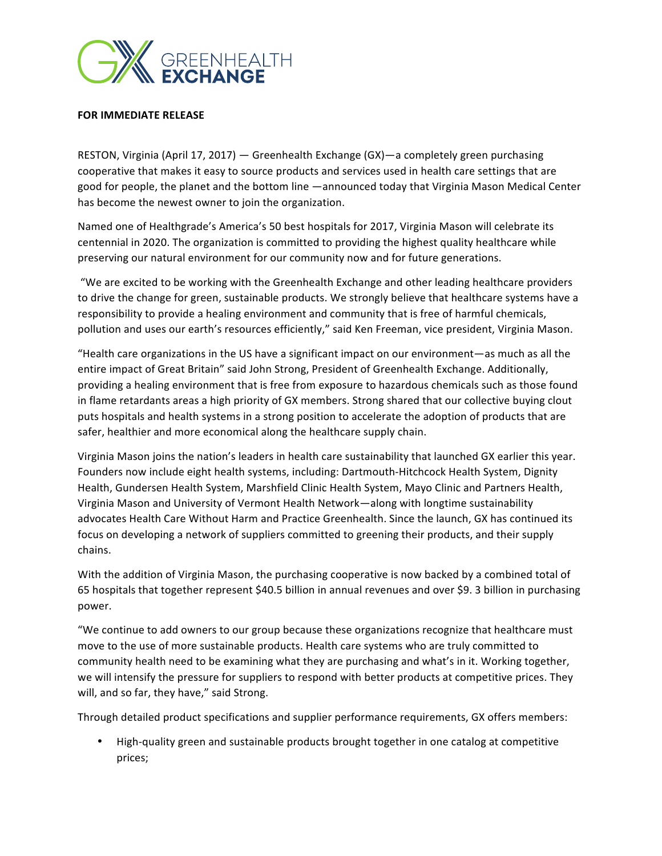

## **FOR IMMEDIATE RELEASE**

RESTON, Virginia (April 17, 2017) — Greenhealth Exchange (GX)—a completely green purchasing cooperative that makes it easy to source products and services used in health care settings that are good for people, the planet and the bottom line —announced today that Virginia Mason Medical Center has become the newest owner to join the organization.

Named one of Healthgrade's America's 50 best hospitals for 2017, Virginia Mason will celebrate its centennial in 2020. The organization is committed to providing the highest quality healthcare while preserving our natural environment for our community now and for future generations.

"We are excited to be working with the Greenhealth Exchange and other leading healthcare providers to drive the change for green, sustainable products. We strongly believe that healthcare systems have a responsibility to provide a healing environment and community that is free of harmful chemicals, pollution and uses our earth's resources efficiently," said Ken Freeman, vice president, Virginia Mason.

"Health care organizations in the US have a significant impact on our environment—as much as all the entire impact of Great Britain" said John Strong, President of Greenhealth Exchange. Additionally, providing a healing environment that is free from exposure to hazardous chemicals such as those found in flame retardants areas a high priority of GX members. Strong shared that our collective buying clout puts hospitals and health systems in a strong position to accelerate the adoption of products that are safer, healthier and more economical along the healthcare supply chain.

Virginia Mason joins the nation's leaders in health care sustainability that launched GX earlier this year. Founders now include eight health systems, including: Dartmouth-Hitchcock Health System, Dignity Health, Gundersen Health System, Marshfield Clinic Health System, Mayo Clinic and Partners Health, Virginia Mason and University of Vermont Health Network—along with longtime sustainability advocates Health Care Without Harm and Practice Greenhealth. Since the launch, GX has continued its focus on developing a network of suppliers committed to greening their products, and their supply chains. 

With the addition of Virginia Mason, the purchasing cooperative is now backed by a combined total of 65 hospitals that together represent \$40.5 billion in annual revenues and over \$9. 3 billion in purchasing power. 

"We continue to add owners to our group because these organizations recognize that healthcare must move to the use of more sustainable products. Health care systems who are truly committed to community health need to be examining what they are purchasing and what's in it. Working together, we will intensify the pressure for suppliers to respond with better products at competitive prices. They will, and so far, they have," said Strong.

Through detailed product specifications and supplier performance requirements, GX offers members:

• High-quality green and sustainable products brought together in one catalog at competitive prices;